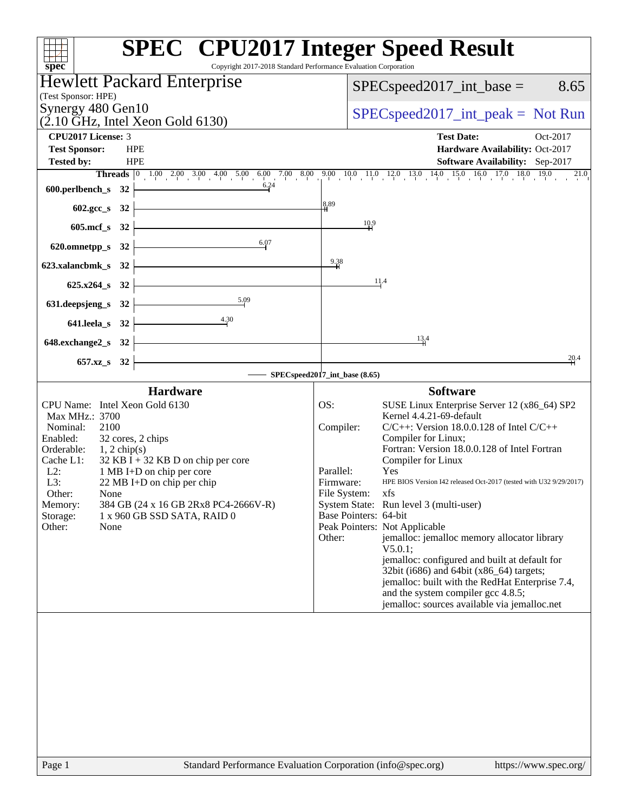| Copyright 2017-2018 Standard Performance Evaluation Corporation<br>spec <sup>®</sup>                                                                                                                                                                                                                                                                                                                               | <b>SPEC<sup>®</sup></b> CPU2017 Integer Speed Result                                                                                                                                                                                                                                                                                                                                                                                                                                                                                                                                                                                                                                                                                                                                |
|--------------------------------------------------------------------------------------------------------------------------------------------------------------------------------------------------------------------------------------------------------------------------------------------------------------------------------------------------------------------------------------------------------------------|-------------------------------------------------------------------------------------------------------------------------------------------------------------------------------------------------------------------------------------------------------------------------------------------------------------------------------------------------------------------------------------------------------------------------------------------------------------------------------------------------------------------------------------------------------------------------------------------------------------------------------------------------------------------------------------------------------------------------------------------------------------------------------------|
| <b>Hewlett Packard Enterprise</b>                                                                                                                                                                                                                                                                                                                                                                                  | $SPEC speed2017\_int\_base =$<br>8.65                                                                                                                                                                                                                                                                                                                                                                                                                                                                                                                                                                                                                                                                                                                                               |
| (Test Sponsor: HPE)                                                                                                                                                                                                                                                                                                                                                                                                |                                                                                                                                                                                                                                                                                                                                                                                                                                                                                                                                                                                                                                                                                                                                                                                     |
| Synergy 480 Gen10<br>$(2.10 \text{ GHz}, \text{Intel Xeon Gold } 6130)$                                                                                                                                                                                                                                                                                                                                            | $SPEC speed2017\_int\_peak = Not Run$                                                                                                                                                                                                                                                                                                                                                                                                                                                                                                                                                                                                                                                                                                                                               |
| <b>CPU2017 License: 3</b>                                                                                                                                                                                                                                                                                                                                                                                          | <b>Test Date:</b><br>Oct-2017                                                                                                                                                                                                                                                                                                                                                                                                                                                                                                                                                                                                                                                                                                                                                       |
| <b>Test Sponsor:</b><br><b>HPE</b><br><b>Tested by:</b><br><b>HPE</b>                                                                                                                                                                                                                                                                                                                                              | Hardware Availability: Oct-2017<br>Software Availability: Sep-2017                                                                                                                                                                                                                                                                                                                                                                                                                                                                                                                                                                                                                                                                                                                  |
|                                                                                                                                                                                                                                                                                                                                                                                                                    |                                                                                                                                                                                                                                                                                                                                                                                                                                                                                                                                                                                                                                                                                                                                                                                     |
| 600.perlbench_s $32 \n\big\}$                                                                                                                                                                                                                                                                                                                                                                                      |                                                                                                                                                                                                                                                                                                                                                                                                                                                                                                                                                                                                                                                                                                                                                                                     |
| <u> 1980 - Johann Barn, mars eta bainar eta idazlea (</u><br>$602.\text{sec}\_\text{s}$ 32                                                                                                                                                                                                                                                                                                                         | 8.89                                                                                                                                                                                                                                                                                                                                                                                                                                                                                                                                                                                                                                                                                                                                                                                |
| <u> Alexandria de la contrada de la con</u><br>$605 \text{.mcf}\, \text{s}$ 32                                                                                                                                                                                                                                                                                                                                     | 10.9                                                                                                                                                                                                                                                                                                                                                                                                                                                                                                                                                                                                                                                                                                                                                                                |
| 6.07<br>620.omnetpp_s 32 $\vert$                                                                                                                                                                                                                                                                                                                                                                                   |                                                                                                                                                                                                                                                                                                                                                                                                                                                                                                                                                                                                                                                                                                                                                                                     |
| 623.xalancbmk_s 32 $\vert$                                                                                                                                                                                                                                                                                                                                                                                         | 9.38                                                                                                                                                                                                                                                                                                                                                                                                                                                                                                                                                                                                                                                                                                                                                                                |
| $625.x264_s$ 32                                                                                                                                                                                                                                                                                                                                                                                                    | 11.4                                                                                                                                                                                                                                                                                                                                                                                                                                                                                                                                                                                                                                                                                                                                                                                |
| 5.09<br>631. deepsjeng_s 32 $\vert$                                                                                                                                                                                                                                                                                                                                                                                |                                                                                                                                                                                                                                                                                                                                                                                                                                                                                                                                                                                                                                                                                                                                                                                     |
| 4.30<br>$641.$ leela_s 32 -                                                                                                                                                                                                                                                                                                                                                                                        |                                                                                                                                                                                                                                                                                                                                                                                                                                                                                                                                                                                                                                                                                                                                                                                     |
| <u> 1989 - Johann Barn, mars ann an t-Amhain</u><br>648.exchange $2$ <sub>_S</sub> 32                                                                                                                                                                                                                                                                                                                              | $13^{4}$                                                                                                                                                                                                                                                                                                                                                                                                                                                                                                                                                                                                                                                                                                                                                                            |
| 657.xz_s 32                                                                                                                                                                                                                                                                                                                                                                                                        | 20.4                                                                                                                                                                                                                                                                                                                                                                                                                                                                                                                                                                                                                                                                                                                                                                                |
| SPECspeed2017_int_base (8.65)<br><b>Hardware</b>                                                                                                                                                                                                                                                                                                                                                                   | <b>Software</b>                                                                                                                                                                                                                                                                                                                                                                                                                                                                                                                                                                                                                                                                                                                                                                     |
| CPU Name: Intel Xeon Gold 6130<br>Max MHz.: 3700<br>Nominal:<br>2100<br>Enabled:<br>32 cores, 2 chips<br>Orderable:<br>$1, 2$ chip(s)<br>Cache L1:<br>$32$ KB I + 32 KB D on chip per core<br>$L2$ :<br>1 MB I+D on chip per core<br>L3:<br>$22 \text{ MB I+D}$ on chip per chip<br>Other:<br>None<br>384 GB (24 x 16 GB 2Rx8 PC4-2666V-R)<br>Memory:<br>Storage:<br>1 x 960 GB SSD SATA, RAID 0<br>Other:<br>None | SUSE Linux Enterprise Server 12 (x86_64) SP2<br>OS:<br>Kernel 4.4.21-69-default<br>$C/C++$ : Version 18.0.0.128 of Intel $C/C++$<br>Compiler:<br>Compiler for Linux;<br>Fortran: Version 18.0.0.128 of Intel Fortran<br>Compiler for Linux<br>Parallel:<br>Yes<br>HPE BIOS Version I42 released Oct-2017 (tested with U32 9/29/2017)<br>Firmware:<br>File System: xfs<br>System State: Run level 3 (multi-user)<br>Base Pointers: 64-bit<br>Peak Pointers: Not Applicable<br>jemalloc: jemalloc memory allocator library<br>Other:<br>V5.0.1;<br>jemalloc: configured and built at default for<br>32bit (i686) and 64bit (x86_64) targets;<br>jemalloc: built with the RedHat Enterprise 7.4,<br>and the system compiler gcc 4.8.5;<br>jemalloc: sources available via jemalloc.net |
| $\alpha$ Standard Darformance Evaluation Corneration (info@spec.org)<br>$D_{0}$ on 1                                                                                                                                                                                                                                                                                                                               | http://www.600.010                                                                                                                                                                                                                                                                                                                                                                                                                                                                                                                                                                                                                                                                                                                                                                  |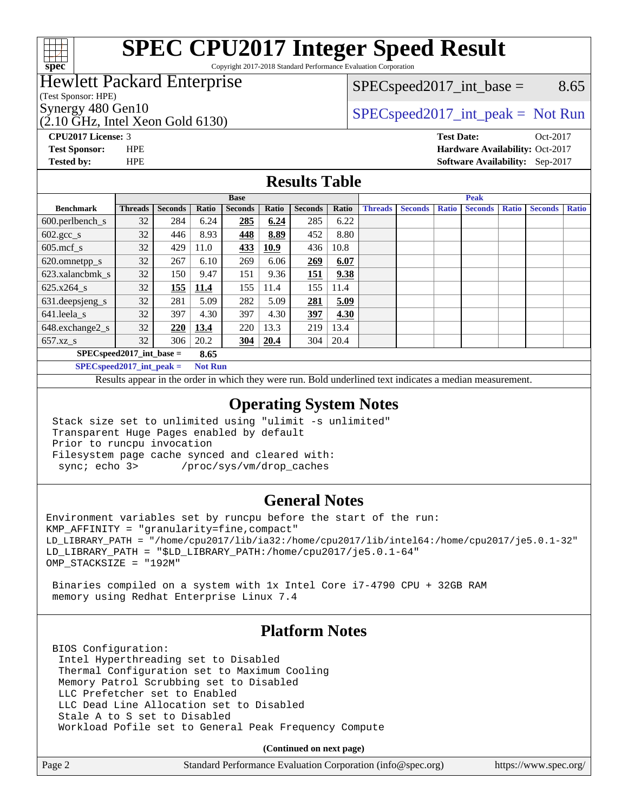

# **[SPEC CPU2017 Integer Speed Result](http://www.spec.org/auto/cpu2017/Docs/result-fields.html#SPECCPU2017IntegerSpeedResult)**

Copyright 2017-2018 Standard Performance Evaluation Corporation

## Hewlett Packard Enterprise

(Test Sponsor: HPE)

 $(2.10 \text{ GHz}, \text{Intel Xeon}$  Gold 6130)

 $SPEC speed2017\_int\_base =$  8.65

Synergy 480 Gen10  $SPEC speed2017\_int\_peak = Not Run$ 

**[Tested by:](http://www.spec.org/auto/cpu2017/Docs/result-fields.html#Testedby)** HPE **[Software Availability:](http://www.spec.org/auto/cpu2017/Docs/result-fields.html#SoftwareAvailability)** Sep-2017

**[CPU2017 License:](http://www.spec.org/auto/cpu2017/Docs/result-fields.html#CPU2017License)** 3 **[Test Date:](http://www.spec.org/auto/cpu2017/Docs/result-fields.html#TestDate)** Oct-2017 **[Test Sponsor:](http://www.spec.org/auto/cpu2017/Docs/result-fields.html#TestSponsor)** HPE **[Hardware Availability:](http://www.spec.org/auto/cpu2017/Docs/result-fields.html#HardwareAvailability)** Oct-2017

#### **[Results Table](http://www.spec.org/auto/cpu2017/Docs/result-fields.html#ResultsTable)**

|                                    | <b>Base</b>    |                |       | <b>Peak</b>    |       |                |       |                |                |              |                |              |                |              |
|------------------------------------|----------------|----------------|-------|----------------|-------|----------------|-------|----------------|----------------|--------------|----------------|--------------|----------------|--------------|
| <b>Benchmark</b>                   | <b>Threads</b> | <b>Seconds</b> | Ratio | <b>Seconds</b> | Ratio | <b>Seconds</b> | Ratio | <b>Threads</b> | <b>Seconds</b> | <b>Ratio</b> | <b>Seconds</b> | <b>Ratio</b> | <b>Seconds</b> | <b>Ratio</b> |
| 600.perlbench_s                    | 32             | 284            | 6.24  | 285            | 6.24  | 285            | 6.22  |                |                |              |                |              |                |              |
| $602.\text{gcc}\_\text{s}$         | 32             | 446            | 8.93  | 448            | 8.89  | 452            | 8.80  |                |                |              |                |              |                |              |
| $605$ .mcf s                       | 32             | 429            | 11.0  | 433            | 10.9  | 436            | 10.8  |                |                |              |                |              |                |              |
| 620.omnetpp_s                      | 32             | 267            | 6.10  | 269            | 6.06  | 269            | 6.07  |                |                |              |                |              |                |              |
| 623.xalancbmk s                    | 32             | 150            | 9.47  | 151            | 9.36  | 151            | 9.38  |                |                |              |                |              |                |              |
| $625.x264_s$                       | 32             | 155            | 11.4  | 155            | 11.4  | 155            | 11.4  |                |                |              |                |              |                |              |
| 631.deepsjeng_s                    | 32             | 281            | 5.09  | 282            | 5.09  | 281            | 5.09  |                |                |              |                |              |                |              |
| 641.leela s                        | 32             | 397            | 4.30  | 397            | 4.30  | 397            | 4.30  |                |                |              |                |              |                |              |
| 648.exchange2_s                    | 32             | 220            | 13.4  | 220            | 13.3  | 219            | 13.4  |                |                |              |                |              |                |              |
| $657.xz$ s                         | 32             | 306            | 20.2  | <u>304</u>     | 20.4  | 304            | 20.4  |                |                |              |                |              |                |              |
| $SPECspeed2017$ int base =<br>8.65 |                |                |       |                |       |                |       |                |                |              |                |              |                |              |

**[SPECspeed2017\\_int\\_peak =](http://www.spec.org/auto/cpu2017/Docs/result-fields.html#SPECspeed2017intpeak) Not Run**

Results appear in the [order in which they were run.](http://www.spec.org/auto/cpu2017/Docs/result-fields.html#RunOrder) Bold underlined text [indicates a median measurement.](http://www.spec.org/auto/cpu2017/Docs/result-fields.html#Median)

#### **[Operating System Notes](http://www.spec.org/auto/cpu2017/Docs/result-fields.html#OperatingSystemNotes)**

 Stack size set to unlimited using "ulimit -s unlimited" Transparent Huge Pages enabled by default Prior to runcpu invocation Filesystem page cache synced and cleared with: sync; echo 3> /proc/sys/vm/drop\_caches

### **[General Notes](http://www.spec.org/auto/cpu2017/Docs/result-fields.html#GeneralNotes)**

Environment variables set by runcpu before the start of the run: KMP\_AFFINITY = "granularity=fine,compact" LD\_LIBRARY\_PATH = "/home/cpu2017/lib/ia32:/home/cpu2017/lib/intel64:/home/cpu2017/je5.0.1-32" LD\_LIBRARY\_PATH = "\$LD\_LIBRARY\_PATH:/home/cpu2017/je5.0.1-64" OMP\_STACKSIZE = "192M"

 Binaries compiled on a system with 1x Intel Core i7-4790 CPU + 32GB RAM memory using Redhat Enterprise Linux 7.4

### **[Platform Notes](http://www.spec.org/auto/cpu2017/Docs/result-fields.html#PlatformNotes)**

 BIOS Configuration: Intel Hyperthreading set to Disabled Thermal Configuration set to Maximum Cooling Memory Patrol Scrubbing set to Disabled LLC Prefetcher set to Enabled LLC Dead Line Allocation set to Disabled Stale A to S set to Disabled Workload Pofile set to General Peak Frequency Compute

**(Continued on next page)**

| Page 2 | Standard Performance Evaluation Corporation (info@spec.org) | https://www.spec.org/ |
|--------|-------------------------------------------------------------|-----------------------|
|        |                                                             |                       |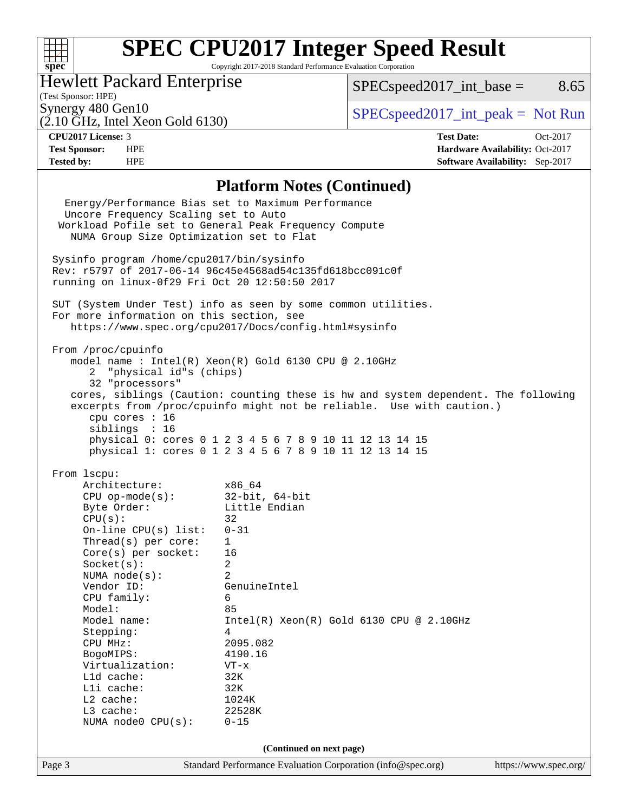### $+\!\!+\!\!$ **[spec](http://www.spec.org/)**

# **[SPEC CPU2017 Integer Speed Result](http://www.spec.org/auto/cpu2017/Docs/result-fields.html#SPECCPU2017IntegerSpeedResult)**

Copyright 2017-2018 Standard Performance Evaluation Corporation

## Hewlett Packard Enterprise

(2.10 GHz, Intel Xeon Gold 6130)

 $SPEC speed2017\_int\_base =$  8.65

(Test Sponsor: HPE)

Synergy 480 Gen10  $S^{pe}$  [SPECspeed2017\\_int\\_peak =](http://www.spec.org/auto/cpu2017/Docs/result-fields.html#SPECspeed2017intpeak) Not Run

**[Tested by:](http://www.spec.org/auto/cpu2017/Docs/result-fields.html#Testedby)** HPE **[Software Availability:](http://www.spec.org/auto/cpu2017/Docs/result-fields.html#SoftwareAvailability)** Sep-2017

**[CPU2017 License:](http://www.spec.org/auto/cpu2017/Docs/result-fields.html#CPU2017License)** 3 **[Test Date:](http://www.spec.org/auto/cpu2017/Docs/result-fields.html#TestDate)** Oct-2017 **[Test Sponsor:](http://www.spec.org/auto/cpu2017/Docs/result-fields.html#TestSponsor)** HPE **[Hardware Availability:](http://www.spec.org/auto/cpu2017/Docs/result-fields.html#HardwareAvailability)** Oct-2017

#### **[Platform Notes \(Continued\)](http://www.spec.org/auto/cpu2017/Docs/result-fields.html#PlatformNotes)**

Page 3 Standard Performance Evaluation Corporation [\(info@spec.org\)](mailto:info@spec.org) <https://www.spec.org/> Energy/Performance Bias set to Maximum Performance Uncore Frequency Scaling set to Auto Workload Pofile set to General Peak Frequency Compute NUMA Group Size Optimization set to Flat Sysinfo program /home/cpu2017/bin/sysinfo Rev: r5797 of 2017-06-14 96c45e4568ad54c135fd618bcc091c0f running on linux-0f29 Fri Oct 20 12:50:50 2017 SUT (System Under Test) info as seen by some common utilities. For more information on this section, see <https://www.spec.org/cpu2017/Docs/config.html#sysinfo> From /proc/cpuinfo model name : Intel(R) Xeon(R) Gold 6130 CPU @ 2.10GHz 2 "physical id"s (chips) 32 "processors" cores, siblings (Caution: counting these is hw and system dependent. The following excerpts from /proc/cpuinfo might not be reliable. Use with caution.) cpu cores : 16 siblings : 16 physical 0: cores 0 1 2 3 4 5 6 7 8 9 10 11 12 13 14 15 physical 1: cores 0 1 2 3 4 5 6 7 8 9 10 11 12 13 14 15 From lscpu: Architecture: x86\_64 CPU op-mode(s): 32-bit, 64-bit Byte Order: Little Endian  $CPU(s):$  32 On-line CPU(s) list: 0-31 Thread(s) per core: 1 Core(s) per socket: 16 Socket(s): 2 NUMA node(s): 2 Vendor ID: GenuineIntel CPU family: 6 Model: 85 Model name: Intel(R) Xeon(R) Gold 6130 CPU @ 2.10GHz Stepping: 4 CPU MHz: 2095.082 BogoMIPS: 4190.16 Virtualization: VT-x L1d cache: 32K L1i cache: 32K L2 cache: 1024K L3 cache: 22528K NUMA node0 CPU(s): 0-15 **(Continued on next page)**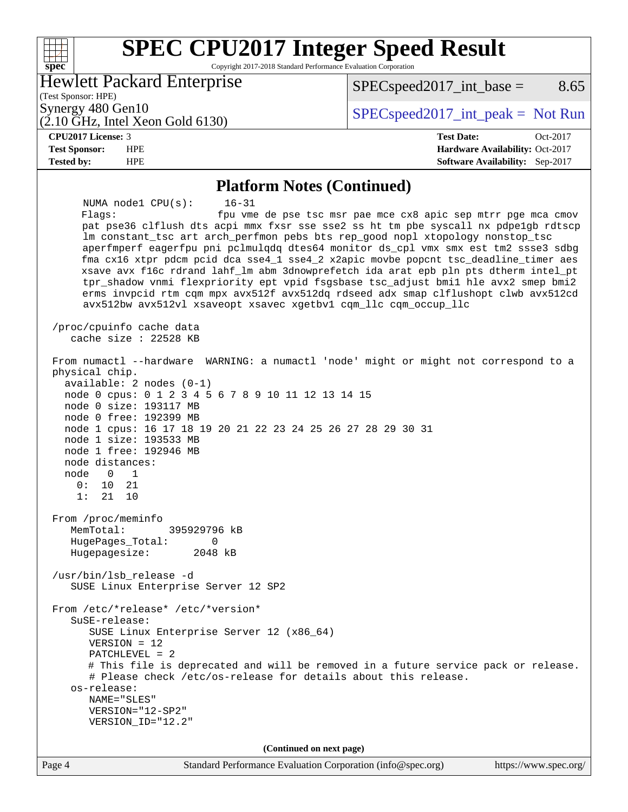#### **[SPEC CPU2017 Integer Speed Result](http://www.spec.org/auto/cpu2017/Docs/result-fields.html#SPECCPU2017IntegerSpeedResult)**  $+\!\!+\!\!$ **[spec](http://www.spec.org/)** Copyright 2017-2018 Standard Performance Evaluation Corporation Hewlett Packard Enterprise  $SPEC speed2017\_int\_base =$  8.65

#### (Test Sponsor: HPE)

(2.10 GHz, Intel Xeon Gold 6130) Synergy 480 Gen10  $S^{pe}$  [SPECspeed2017\\_int\\_peak =](http://www.spec.org/auto/cpu2017/Docs/result-fields.html#SPECspeed2017intpeak) Not Run

#### **[CPU2017 License:](http://www.spec.org/auto/cpu2017/Docs/result-fields.html#CPU2017License)** 3 **[Test Date:](http://www.spec.org/auto/cpu2017/Docs/result-fields.html#TestDate)** Oct-2017

**[Test Sponsor:](http://www.spec.org/auto/cpu2017/Docs/result-fields.html#TestSponsor)** HPE **[Hardware Availability:](http://www.spec.org/auto/cpu2017/Docs/result-fields.html#HardwareAvailability)** Oct-2017 **[Tested by:](http://www.spec.org/auto/cpu2017/Docs/result-fields.html#Testedby)** HPE **[Software Availability:](http://www.spec.org/auto/cpu2017/Docs/result-fields.html#SoftwareAvailability)** Sep-2017

#### **[Platform Notes \(Continued\)](http://www.spec.org/auto/cpu2017/Docs/result-fields.html#PlatformNotes)**

 NUMA node1 CPU(s): 16-31 Flags: fpu vme de pse tsc msr pae mce cx8 apic sep mtrr pge mca cmov pat pse36 clflush dts acpi mmx fxsr sse sse2 ss ht tm pbe syscall nx pdpe1gb rdtscp lm constant\_tsc art arch\_perfmon pebs bts rep\_good nopl xtopology nonstop\_tsc aperfmperf eagerfpu pni pclmulqdq dtes64 monitor ds\_cpl vmx smx est tm2 ssse3 sdbg fma cx16 xtpr pdcm pcid dca sse4\_1 sse4\_2 x2apic movbe popcnt tsc\_deadline\_timer aes xsave avx f16c rdrand lahf\_lm abm 3dnowprefetch ida arat epb pln pts dtherm intel\_pt tpr\_shadow vnmi flexpriority ept vpid fsgsbase tsc\_adjust bmi1 hle avx2 smep bmi2 erms invpcid rtm cqm mpx avx512f avx512dq rdseed adx smap clflushopt clwb avx512cd avx512bw avx512vl xsaveopt xsavec xgetbv1 cqm\_llc cqm\_occup\_llc /proc/cpuinfo cache data cache size : 22528 KB From numactl --hardware WARNING: a numactl 'node' might or might not correspond to a physical chip. available: 2 nodes (0-1) node 0 cpus: 0 1 2 3 4 5 6 7 8 9 10 11 12 13 14 15 node 0 size: 193117 MB node 0 free: 192399 MB node 1 cpus: 16 17 18 19 20 21 22 23 24 25 26 27 28 29 30 31 node 1 size: 193533 MB node 1 free: 192946 MB node distances: node 0 1 0: 10 21 1: 21 10 From /proc/meminfo MemTotal: 395929796 kB HugePages\_Total: 0 Hugepagesize: 2048 kB /usr/bin/lsb\_release -d SUSE Linux Enterprise Server 12 SP2 From /etc/\*release\* /etc/\*version\* SuSE-release: SUSE Linux Enterprise Server 12 (x86\_64) VERSION = 12 PATCHLEVEL = 2 # This file is deprecated and will be removed in a future service pack or release. # Please check /etc/os-release for details about this release. os-release: NAME="SLES" VERSION="12-SP2" VERSION\_ID="12.2" **(Continued on next page)**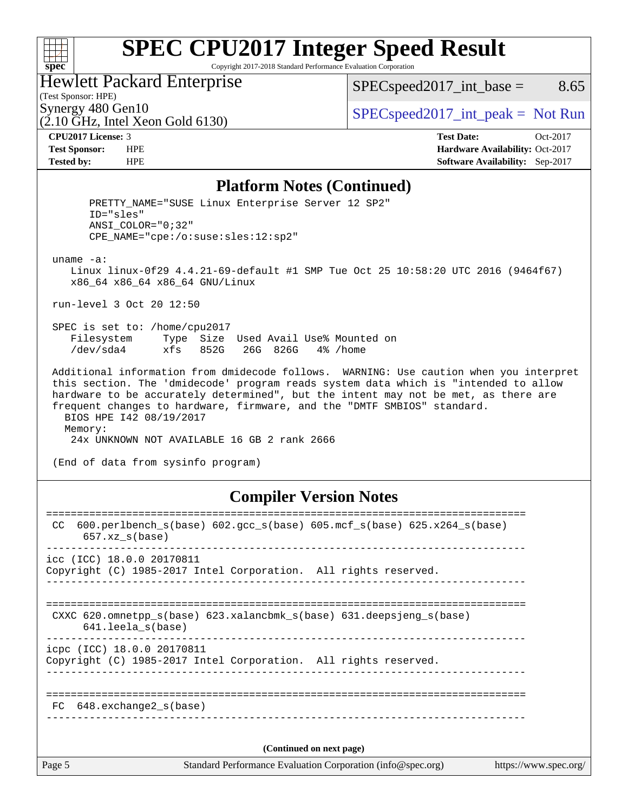#### $+\!\!+\!\!$ **[spec](http://www.spec.org/)**

# **[SPEC CPU2017 Integer Speed Result](http://www.spec.org/auto/cpu2017/Docs/result-fields.html#SPECCPU2017IntegerSpeedResult)**

Copyright 2017-2018 Standard Performance Evaluation Corporation

## Hewlett Packard Enterprise

 $(2.10 \text{ GHz}, \text{Intel Xeon}$  Gold 6130)

 $SPEC speed2017\_int\_base =$  8.65

(Test Sponsor: HPE)

Synergy 480 Gen10  $S^{pe}$  [SPECspeed2017\\_int\\_peak =](http://www.spec.org/auto/cpu2017/Docs/result-fields.html#SPECspeed2017intpeak) Not Run

**[CPU2017 License:](http://www.spec.org/auto/cpu2017/Docs/result-fields.html#CPU2017License)** 3 **[Test Date:](http://www.spec.org/auto/cpu2017/Docs/result-fields.html#TestDate)** Oct-2017 **[Test Sponsor:](http://www.spec.org/auto/cpu2017/Docs/result-fields.html#TestSponsor)** HPE **[Hardware Availability:](http://www.spec.org/auto/cpu2017/Docs/result-fields.html#HardwareAvailability)** Oct-2017 **[Tested by:](http://www.spec.org/auto/cpu2017/Docs/result-fields.html#Testedby)** HPE **[Software Availability:](http://www.spec.org/auto/cpu2017/Docs/result-fields.html#SoftwareAvailability)** Sep-2017

#### **[Platform Notes \(Continued\)](http://www.spec.org/auto/cpu2017/Docs/result-fields.html#PlatformNotes)**

PRETTY NAME="SUSE Linux Enterprise Server 12 SP2" ID="sles" ANSI\_COLOR="0;32" CPE\_NAME="cpe:/o:suse:sles:12:sp2" uname -a: Linux linux-0f29 4.4.21-69-default #1 SMP Tue Oct 25 10:58:20 UTC 2016 (9464f67) x86\_64 x86\_64 x86\_64 GNU/Linux run-level 3 Oct 20 12:50 SPEC is set to: /home/cpu2017 Filesystem Type Size Used Avail Use% Mounted on /dev/sda4 xfs 852G 26G 826G 4% /home Additional information from dmidecode follows. WARNING: Use caution when you interpret this section. The 'dmidecode' program reads system data which is "intended to allow hardware to be accurately determined", but the intent may not be met, as there are frequent changes to hardware, firmware, and the "DMTF SMBIOS" standard. BIOS HPE I42 08/19/2017 Memory: 24x UNKNOWN NOT AVAILABLE 16 GB 2 rank 2666 (End of data from sysinfo program) **[Compiler Version Notes](http://www.spec.org/auto/cpu2017/Docs/result-fields.html#CompilerVersionNotes)** ==============================================================================

Page 5 Standard Performance Evaluation Corporation [\(info@spec.org\)](mailto:info@spec.org) <https://www.spec.org/> CC 600.perlbench\_s(base) 602.gcc\_s(base) 605.mcf\_s(base) 625.x264\_s(base) 657.xz\_s(base) ----------------------------------------------------------------------------- icc (ICC) 18.0.0 20170811 Copyright (C) 1985-2017 Intel Corporation. All rights reserved. ------------------------------------------------------------------------------ ============================================================================== CXXC 620.omnetpp s(base) 623.xalancbmk s(base) 631.deepsjeng s(base) 641.leela\_s(base) ----------------------------------------------------------------------------- icpc (ICC) 18.0.0 20170811 Copyright (C) 1985-2017 Intel Corporation. All rights reserved. ------------------------------------------------------------------------------ ============================================================================== FC 648.exchange2\_s(base) ------------------------------------------------------------------------------ **(Continued on next page)**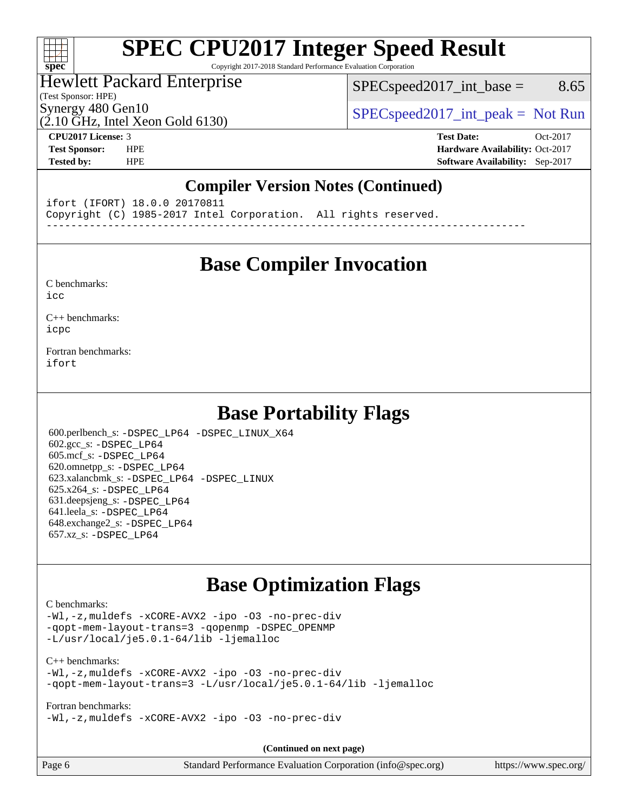### $+\ +$ **[spec](http://www.spec.org/)**

# **[SPEC CPU2017 Integer Speed Result](http://www.spec.org/auto/cpu2017/Docs/result-fields.html#SPECCPU2017IntegerSpeedResult)**

Copyright 2017-2018 Standard Performance Evaluation Corporation

## Hewlett Packard Enterprise

 $SPEC speed2017\_int\_base =$  8.65

# (Test Sponsor: HPE)

 $(2.10 \text{ GHz}, \text{Intel Xeon}$  Gold 6130)

Synergy 480 Gen10  $SPEC speed2017\_int\_peak = Not Run$ 

**[CPU2017 License:](http://www.spec.org/auto/cpu2017/Docs/result-fields.html#CPU2017License)** 3 **[Test Date:](http://www.spec.org/auto/cpu2017/Docs/result-fields.html#TestDate)** Oct-2017 **[Test Sponsor:](http://www.spec.org/auto/cpu2017/Docs/result-fields.html#TestSponsor)** HPE **[Hardware Availability:](http://www.spec.org/auto/cpu2017/Docs/result-fields.html#HardwareAvailability)** Oct-2017 **[Tested by:](http://www.spec.org/auto/cpu2017/Docs/result-fields.html#Testedby)** HPE **[Software Availability:](http://www.spec.org/auto/cpu2017/Docs/result-fields.html#SoftwareAvailability)** Sep-2017

### **[Compiler Version Notes \(Continued\)](http://www.spec.org/auto/cpu2017/Docs/result-fields.html#CompilerVersionNotes)**

ifort (IFORT) 18.0.0 20170811

Copyright (C) 1985-2017 Intel Corporation. All rights reserved.

------------------------------------------------------------------------------

# **[Base Compiler Invocation](http://www.spec.org/auto/cpu2017/Docs/result-fields.html#BaseCompilerInvocation)**

#### [C benchmarks](http://www.spec.org/auto/cpu2017/Docs/result-fields.html#Cbenchmarks):

[icc](http://www.spec.org/cpu2017/results/res2017q4/cpu2017-20171031-00324.flags.html#user_CCbase_intel_icc_18.0_66fc1ee009f7361af1fbd72ca7dcefbb700085f36577c54f309893dd4ec40d12360134090235512931783d35fd58c0460139e722d5067c5574d8eaf2b3e37e92)

[C++ benchmarks:](http://www.spec.org/auto/cpu2017/Docs/result-fields.html#CXXbenchmarks) [icpc](http://www.spec.org/cpu2017/results/res2017q4/cpu2017-20171031-00324.flags.html#user_CXXbase_intel_icpc_18.0_c510b6838c7f56d33e37e94d029a35b4a7bccf4766a728ee175e80a419847e808290a9b78be685c44ab727ea267ec2f070ec5dc83b407c0218cded6866a35d07)

[Fortran benchmarks](http://www.spec.org/auto/cpu2017/Docs/result-fields.html#Fortranbenchmarks): [ifort](http://www.spec.org/cpu2017/results/res2017q4/cpu2017-20171031-00324.flags.html#user_FCbase_intel_ifort_18.0_8111460550e3ca792625aed983ce982f94888b8b503583aa7ba2b8303487b4d8a21a13e7191a45c5fd58ff318f48f9492884d4413fa793fd88dd292cad7027ca)

# **[Base Portability Flags](http://www.spec.org/auto/cpu2017/Docs/result-fields.html#BasePortabilityFlags)**

 600.perlbench\_s: [-DSPEC\\_LP64](http://www.spec.org/cpu2017/results/res2017q4/cpu2017-20171031-00324.flags.html#b600.perlbench_s_basePORTABILITY_DSPEC_LP64) [-DSPEC\\_LINUX\\_X64](http://www.spec.org/cpu2017/results/res2017q4/cpu2017-20171031-00324.flags.html#b600.perlbench_s_baseCPORTABILITY_DSPEC_LINUX_X64) 602.gcc\_s: [-DSPEC\\_LP64](http://www.spec.org/cpu2017/results/res2017q4/cpu2017-20171031-00324.flags.html#suite_basePORTABILITY602_gcc_s_DSPEC_LP64) 605.mcf\_s: [-DSPEC\\_LP64](http://www.spec.org/cpu2017/results/res2017q4/cpu2017-20171031-00324.flags.html#suite_basePORTABILITY605_mcf_s_DSPEC_LP64) 620.omnetpp\_s: [-DSPEC\\_LP64](http://www.spec.org/cpu2017/results/res2017q4/cpu2017-20171031-00324.flags.html#suite_basePORTABILITY620_omnetpp_s_DSPEC_LP64) 623.xalancbmk\_s: [-DSPEC\\_LP64](http://www.spec.org/cpu2017/results/res2017q4/cpu2017-20171031-00324.flags.html#suite_basePORTABILITY623_xalancbmk_s_DSPEC_LP64) [-DSPEC\\_LINUX](http://www.spec.org/cpu2017/results/res2017q4/cpu2017-20171031-00324.flags.html#b623.xalancbmk_s_baseCXXPORTABILITY_DSPEC_LINUX) 625.x264\_s: [-DSPEC\\_LP64](http://www.spec.org/cpu2017/results/res2017q4/cpu2017-20171031-00324.flags.html#suite_basePORTABILITY625_x264_s_DSPEC_LP64) 631.deepsjeng\_s: [-DSPEC\\_LP64](http://www.spec.org/cpu2017/results/res2017q4/cpu2017-20171031-00324.flags.html#suite_basePORTABILITY631_deepsjeng_s_DSPEC_LP64) 641.leela\_s: [-DSPEC\\_LP64](http://www.spec.org/cpu2017/results/res2017q4/cpu2017-20171031-00324.flags.html#suite_basePORTABILITY641_leela_s_DSPEC_LP64) 648.exchange2\_s: [-DSPEC\\_LP64](http://www.spec.org/cpu2017/results/res2017q4/cpu2017-20171031-00324.flags.html#suite_basePORTABILITY648_exchange2_s_DSPEC_LP64) 657.xz\_s: [-DSPEC\\_LP64](http://www.spec.org/cpu2017/results/res2017q4/cpu2017-20171031-00324.flags.html#suite_basePORTABILITY657_xz_s_DSPEC_LP64)

# **[Base Optimization Flags](http://www.spec.org/auto/cpu2017/Docs/result-fields.html#BaseOptimizationFlags)**

#### [C benchmarks](http://www.spec.org/auto/cpu2017/Docs/result-fields.html#Cbenchmarks):

[-Wl,-z,muldefs](http://www.spec.org/cpu2017/results/res2017q4/cpu2017-20171031-00324.flags.html#user_CCbase_link_force_multiple1_b4cbdb97b34bdee9ceefcfe54f4c8ea74255f0b02a4b23e853cdb0e18eb4525ac79b5a88067c842dd0ee6996c24547a27a4b99331201badda8798ef8a743f577) [-xCORE-AVX2](http://www.spec.org/cpu2017/results/res2017q4/cpu2017-20171031-00324.flags.html#user_CCbase_f-xCORE-AVX2) [-ipo](http://www.spec.org/cpu2017/results/res2017q4/cpu2017-20171031-00324.flags.html#user_CCbase_f-ipo) [-O3](http://www.spec.org/cpu2017/results/res2017q4/cpu2017-20171031-00324.flags.html#user_CCbase_f-O3) [-no-prec-div](http://www.spec.org/cpu2017/results/res2017q4/cpu2017-20171031-00324.flags.html#user_CCbase_f-no-prec-div) [-qopt-mem-layout-trans=3](http://www.spec.org/cpu2017/results/res2017q4/cpu2017-20171031-00324.flags.html#user_CCbase_f-qopt-mem-layout-trans_de80db37974c74b1f0e20d883f0b675c88c3b01e9d123adea9b28688d64333345fb62bc4a798493513fdb68f60282f9a726aa07f478b2f7113531aecce732043) [-qopenmp](http://www.spec.org/cpu2017/results/res2017q4/cpu2017-20171031-00324.flags.html#user_CCbase_qopenmp_16be0c44f24f464004c6784a7acb94aca937f053568ce72f94b139a11c7c168634a55f6653758ddd83bcf7b8463e8028bb0b48b77bcddc6b78d5d95bb1df2967) [-DSPEC\\_OPENMP](http://www.spec.org/cpu2017/results/res2017q4/cpu2017-20171031-00324.flags.html#suite_CCbase_DSPEC_OPENMP) [-L/usr/local/je5.0.1-64/lib](http://www.spec.org/cpu2017/results/res2017q4/cpu2017-20171031-00324.flags.html#user_CCbase_jemalloc_link_path64_4b10a636b7bce113509b17f3bd0d6226c5fb2346b9178c2d0232c14f04ab830f976640479e5c33dc2bcbbdad86ecfb6634cbbd4418746f06f368b512fced5394) [-ljemalloc](http://www.spec.org/cpu2017/results/res2017q4/cpu2017-20171031-00324.flags.html#user_CCbase_jemalloc_link_lib_d1249b907c500fa1c0672f44f562e3d0f79738ae9e3c4a9c376d49f265a04b9c99b167ecedbf6711b3085be911c67ff61f150a17b3472be731631ba4d0471706)

#### [C++ benchmarks:](http://www.spec.org/auto/cpu2017/Docs/result-fields.html#CXXbenchmarks)

[-Wl,-z,muldefs](http://www.spec.org/cpu2017/results/res2017q4/cpu2017-20171031-00324.flags.html#user_CXXbase_link_force_multiple1_b4cbdb97b34bdee9ceefcfe54f4c8ea74255f0b02a4b23e853cdb0e18eb4525ac79b5a88067c842dd0ee6996c24547a27a4b99331201badda8798ef8a743f577) [-xCORE-AVX2](http://www.spec.org/cpu2017/results/res2017q4/cpu2017-20171031-00324.flags.html#user_CXXbase_f-xCORE-AVX2) [-ipo](http://www.spec.org/cpu2017/results/res2017q4/cpu2017-20171031-00324.flags.html#user_CXXbase_f-ipo) [-O3](http://www.spec.org/cpu2017/results/res2017q4/cpu2017-20171031-00324.flags.html#user_CXXbase_f-O3) [-no-prec-div](http://www.spec.org/cpu2017/results/res2017q4/cpu2017-20171031-00324.flags.html#user_CXXbase_f-no-prec-div) [-qopt-mem-layout-trans=3](http://www.spec.org/cpu2017/results/res2017q4/cpu2017-20171031-00324.flags.html#user_CXXbase_f-qopt-mem-layout-trans_de80db37974c74b1f0e20d883f0b675c88c3b01e9d123adea9b28688d64333345fb62bc4a798493513fdb68f60282f9a726aa07f478b2f7113531aecce732043) [-L/usr/local/je5.0.1-64/lib](http://www.spec.org/cpu2017/results/res2017q4/cpu2017-20171031-00324.flags.html#user_CXXbase_jemalloc_link_path64_4b10a636b7bce113509b17f3bd0d6226c5fb2346b9178c2d0232c14f04ab830f976640479e5c33dc2bcbbdad86ecfb6634cbbd4418746f06f368b512fced5394) [-ljemalloc](http://www.spec.org/cpu2017/results/res2017q4/cpu2017-20171031-00324.flags.html#user_CXXbase_jemalloc_link_lib_d1249b907c500fa1c0672f44f562e3d0f79738ae9e3c4a9c376d49f265a04b9c99b167ecedbf6711b3085be911c67ff61f150a17b3472be731631ba4d0471706)

#### [Fortran benchmarks](http://www.spec.org/auto/cpu2017/Docs/result-fields.html#Fortranbenchmarks):

[-Wl,-z,muldefs](http://www.spec.org/cpu2017/results/res2017q4/cpu2017-20171031-00324.flags.html#user_FCbase_link_force_multiple1_b4cbdb97b34bdee9ceefcfe54f4c8ea74255f0b02a4b23e853cdb0e18eb4525ac79b5a88067c842dd0ee6996c24547a27a4b99331201badda8798ef8a743f577) [-xCORE-AVX2](http://www.spec.org/cpu2017/results/res2017q4/cpu2017-20171031-00324.flags.html#user_FCbase_f-xCORE-AVX2) [-ipo](http://www.spec.org/cpu2017/results/res2017q4/cpu2017-20171031-00324.flags.html#user_FCbase_f-ipo) [-O3](http://www.spec.org/cpu2017/results/res2017q4/cpu2017-20171031-00324.flags.html#user_FCbase_f-O3) [-no-prec-div](http://www.spec.org/cpu2017/results/res2017q4/cpu2017-20171031-00324.flags.html#user_FCbase_f-no-prec-div)

**(Continued on next page)**